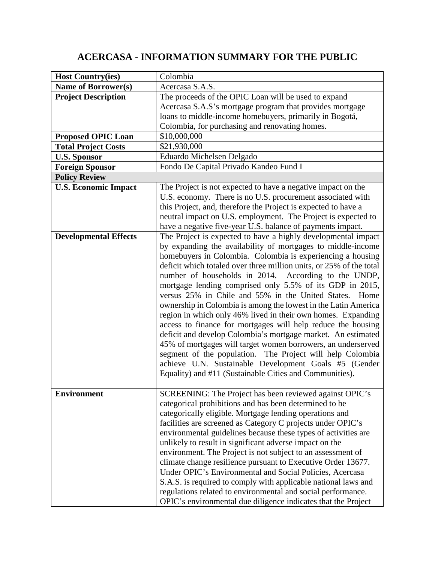## **ACERCASA - INFORMATION SUMMARY FOR THE PUBLIC**

| <b>Host Country(ies)</b>     | Colombia                                                            |
|------------------------------|---------------------------------------------------------------------|
| <b>Name of Borrower(s)</b>   | Acercasa S.A.S.                                                     |
| <b>Project Description</b>   | The proceeds of the OPIC Loan will be used to expand                |
|                              | Acercasa S.A.S's mortgage program that provides mortgage            |
|                              | loans to middle-income homebuyers, primarily in Bogotá,             |
|                              | Colombia, for purchasing and renovating homes.                      |
| <b>Proposed OPIC Loan</b>    | \$10,000,000                                                        |
| <b>Total Project Costs</b>   | \$21,930,000                                                        |
| <b>U.S. Sponsor</b>          | Eduardo Michelsen Delgado                                           |
| <b>Foreign Sponsor</b>       | Fondo De Capital Privado Kandeo Fund I                              |
| <b>Policy Review</b>         |                                                                     |
| <b>U.S. Economic Impact</b>  | The Project is not expected to have a negative impact on the        |
|                              | U.S. economy. There is no U.S. procurement associated with          |
|                              | this Project, and, therefore the Project is expected to have a      |
|                              | neutral impact on U.S. employment. The Project is expected to       |
|                              | have a negative five-year U.S. balance of payments impact.          |
| <b>Developmental Effects</b> | The Project is expected to have a highly developmental impact       |
|                              | by expanding the availability of mortgages to middle-income         |
|                              | homebuyers in Colombia. Colombia is experiencing a housing          |
|                              | deficit which totaled over three million units, or 25% of the total |
|                              | number of households in 2014. According to the UNDP,                |
|                              | mortgage lending comprised only 5.5% of its GDP in 2015,            |
|                              | versus 25% in Chile and 55% in the United States. Home              |
|                              | ownership in Colombia is among the lowest in the Latin America      |
|                              | region in which only 46% lived in their own homes. Expanding        |
|                              | access to finance for mortgages will help reduce the housing        |
|                              | deficit and develop Colombia's mortgage market. An estimated        |
|                              | 45% of mortgages will target women borrowers, an underserved        |
|                              | segment of the population. The Project will help Colombia           |
|                              | achieve U.N. Sustainable Development Goals #5 (Gender               |
|                              | Equality) and #11 (Sustainable Cities and Communities).             |
| <b>Environment</b>           | SCREENING: The Project has been reviewed against OPIC's             |
|                              | categorical prohibitions and has been determined to be              |
|                              | categorically eligible. Mortgage lending operations and             |
|                              | facilities are screened as Category C projects under OPIC's         |
|                              | environmental guidelines because these types of activities are      |
|                              | unlikely to result in significant adverse impact on the             |
|                              | environment. The Project is not subject to an assessment of         |
|                              | climate change resilience pursuant to Executive Order 13677.        |
|                              | Under OPIC's Environmental and Social Policies, Acercasa            |
|                              | S.A.S. is required to comply with applicable national laws and      |
|                              | regulations related to environmental and social performance.        |
|                              | OPIC's environmental due diligence indicates that the Project       |